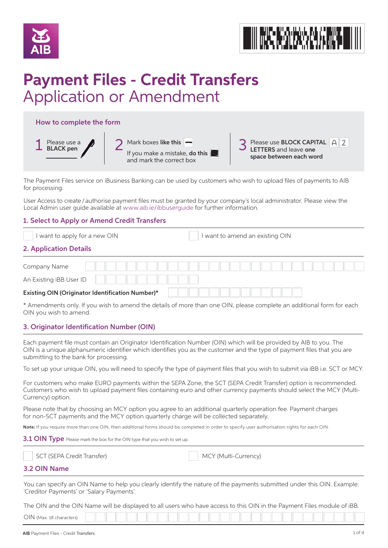



# **Payment Files - Credit Transfers** Application or Amendment

# How to complete the form



| $\bigcap$ Mark boxes like this $\bigcap$ |
|------------------------------------------|
| If you make a mistake, do this           |
| and mark the correct box                 |



The Payment Files service on iBusiness Banking can be used by customers who wish to upload files of payments to AIB for processing.

User Access to create / authorise payment files must be granted by your company's local administrator. Please view the Local Admin user guide available at www.aib.ie/ibbuserguide for further information.

# 1. Select to Apply or Amend Credit Transfers

I want to apply for a new OIN **I** I want to amend an existing OIN

# 2. Application Details

| Company Name                                            |  |  |  |  |  |  |  |  |  |  |  |  |  |
|---------------------------------------------------------|--|--|--|--|--|--|--|--|--|--|--|--|--|
| An Existing iBB User ID                                 |  |  |  |  |  |  |  |  |  |  |  |  |  |
| <b>Existing OIN (Originator Identification Number)*</b> |  |  |  |  |  |  |  |  |  |  |  |  |  |

\* Amendments only. If you wish to amend the details of more than one OIN, please complete an additional form for each OIN you wish to amend.

# 3. Originator Identification Number (OIN)

Each payment file must contain an Originator Identification Number (OIN) which will be provided by AIB to you. The OIN is a unique alphanumeric identifier which identifies you as the customer and the type of payment files that you are submitting to the bank for processing.

To set up your unique OIN, you will need to specify the type of payment files that you wish to submit via iBB i.e. SCT or MCY.

For customers who make EURO payments within the SEPA Zone, the SCT (SEPA Credit Transfer) option is recommended. Customers who wish to upload payment files containing euro and other currency payments should select the MCY (Multi-Currency) option.

Please note that by choosing an MCY option you agree to an additional quarterly operation fee. Payment charges for non-SCT payments and the MCY option quarterly charge will be collected separately.

Note: If you require more than one OIN, then additional forms should be completed in order to specify user authorisation rights for each OIN.

3.1 OIN Type Please mark the box for the OIN type that you wish to set up.

|  | SCT (SEPA Credit Transfer) |  | MCY (Multi-Currency) |
|--|----------------------------|--|----------------------|
|--|----------------------------|--|----------------------|

# 3.2 OIN Name

You can specify an OIN Name to help you clearly identify the nature of the payments submitted under this OIN. Example: 'Creditor Payments' or 'Salary Payments'.

The OIN and the OIN Name will be displayed to all users who have access to this OIN in the Payment Files module of iBB.

| OIN<br>(Max. 18 characters) |  |  |  |  |  |  |  |  |  |  |  |  |  |  |
|-----------------------------|--|--|--|--|--|--|--|--|--|--|--|--|--|--|
|                             |  |  |  |  |  |  |  |  |  |  |  |  |  |  |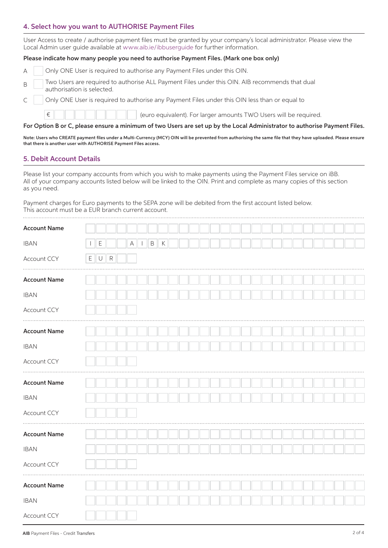## 4. Select how you want to AUTHORISE Payment Files

User Access to create / authorise payment files must be granted by your company's local administrator. Please view the Local Admin user guide available at www.aib.ie/ibbuserguide for further information.

#### Please indicate how many people you need to authorise Payment Files. (Mark one box only)

|  | Only ONE User is required to authorise any Payment Files under this OIN. |
|--|--------------------------------------------------------------------------|
|  |                                                                          |

- B Two Users are required to authorise ALL Payment Files under this OIN. AIB recommends that dual authorisation is selected.
	- Only ONE User is required to authorise any Payment Files under this OIN less than or equal to

(euro equivalent). For larger amounts TWO Users will be required.

#### For Option B or C, please ensure a minimum of two Users are set up by the Local Administrator to authorise Payment Files.

Note: Users who CREATE payment files under a Multi-Currency (MCY) OIN will be prevented from authorising the same file that they have uploaded. Please ensure that there is another user with AUTHORISE Payment Files access.

#### 5. Debit Account Details

€

 $\mathsf{C}$ 

Please list your company accounts from which you wish to make payments using the Payment Files service on iBB. All of your company accounts listed below will be linked to the OIN. Print and complete as many copies of this section as you need.

Payment charges for Euro payments to the SEPA zone will be debited from the first account listed below. This account must be a EUR branch current account.

| <b>Account Name</b> |                 |             |             |             |              |         |  |  |  |  |  |  |  |  |  |  |
|---------------------|-----------------|-------------|-------------|-------------|--------------|---------|--|--|--|--|--|--|--|--|--|--|
| <b>IBAN</b>         | $\perp$         | $\mathsf E$ |             | $\mathsf A$ | $\, {\sf B}$ | $\sf K$ |  |  |  |  |  |  |  |  |  |  |
| Account CCY         | $E \parallel U$ |             | $\mathsf R$ |             |              |         |  |  |  |  |  |  |  |  |  |  |
| <b>Account Name</b> |                 |             |             |             |              |         |  |  |  |  |  |  |  |  |  |  |
| <b>IBAN</b>         |                 |             |             |             |              |         |  |  |  |  |  |  |  |  |  |  |
| Account CCY         |                 |             |             |             |              |         |  |  |  |  |  |  |  |  |  |  |
| <b>Account Name</b> |                 |             |             |             |              |         |  |  |  |  |  |  |  |  |  |  |
| <b>IBAN</b>         |                 |             |             |             |              |         |  |  |  |  |  |  |  |  |  |  |
| Account CCY         |                 |             |             |             |              |         |  |  |  |  |  |  |  |  |  |  |
| <b>Account Name</b> |                 |             |             |             |              |         |  |  |  |  |  |  |  |  |  |  |
| <b>IBAN</b>         |                 |             |             |             |              |         |  |  |  |  |  |  |  |  |  |  |
| Account CCY         |                 |             |             |             |              |         |  |  |  |  |  |  |  |  |  |  |
| <b>Account Name</b> |                 |             |             |             |              |         |  |  |  |  |  |  |  |  |  |  |
| <b>IBAN</b>         |                 |             |             |             |              |         |  |  |  |  |  |  |  |  |  |  |
| Account CCY         |                 |             |             |             |              |         |  |  |  |  |  |  |  |  |  |  |
| <b>Account Name</b> |                 |             |             |             |              |         |  |  |  |  |  |  |  |  |  |  |
| <b>IBAN</b>         |                 |             |             |             |              |         |  |  |  |  |  |  |  |  |  |  |
| Account CCY         |                 |             |             |             |              |         |  |  |  |  |  |  |  |  |  |  |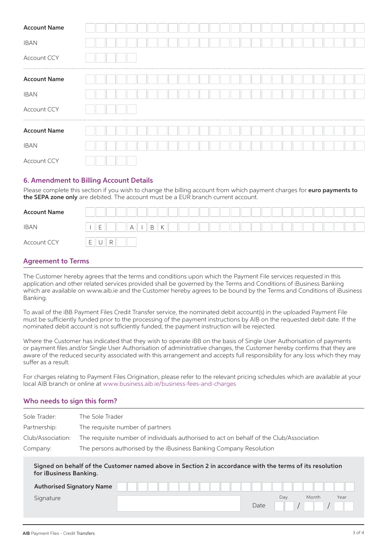| <b>Account Name</b> |  |  |  |  |  |  |  |  |  |  |  |  |   |  |
|---------------------|--|--|--|--|--|--|--|--|--|--|--|--|---|--|
| <b>IBAN</b>         |  |  |  |  |  |  |  |  |  |  |  |  |   |  |
| Account CCY         |  |  |  |  |  |  |  |  |  |  |  |  | . |  |
| <b>Account Name</b> |  |  |  |  |  |  |  |  |  |  |  |  |   |  |
| <b>IBAN</b>         |  |  |  |  |  |  |  |  |  |  |  |  |   |  |
| Account CCY<br>     |  |  |  |  |  |  |  |  |  |  |  |  |   |  |
| <b>Account Name</b> |  |  |  |  |  |  |  |  |  |  |  |  |   |  |
| <b>IBAN</b>         |  |  |  |  |  |  |  |  |  |  |  |  |   |  |
| Account CCY         |  |  |  |  |  |  |  |  |  |  |  |  |   |  |

## 6. Amendment to Billing Account Details

Please complete this section if you wish to change the billing account from which payment charges for euro payments to the SEPA zone only are debited. The account must be a EUR branch current account.

| <b>Account Name</b> |                                                            |               |        |  |  |  |  |  |  |  |  |
|---------------------|------------------------------------------------------------|---------------|--------|--|--|--|--|--|--|--|--|
| <b>IBAN</b>         | $\overline{\phantom{0}}$<br>-                              | $A \parallel$ | B<br>K |  |  |  |  |  |  |  |  |
| Account CCY         | $\overline{ }$<br>R<br><b>1</b><br>$\check{ }$<br><u>—</u> |               |        |  |  |  |  |  |  |  |  |

## Agreement to Terms

The Customer hereby agrees that the terms and conditions upon which the Payment File services requested in this application and other related services provided shall be governed by the Terms and Conditions of iBusiness Banking which are available on www.aib.ie and the Customer hereby agrees to be bound by the Terms and Conditions of iBusiness Banking.

To avail of the iBB Payment Files Credit Transfer service, the nominated debit account(s) in the uploaded Payment File must be sufficiently funded prior to the processing of the payment instructions by AIB on the requested debit date. If the nominated debit account is not sufficiently funded, the payment instruction will be rejected.

Where the Customer has indicated that they wish to operate iBB on the basis of Single User Authorisation of payments or payment files and/or Single User Authorisation of administrative changes, the Customer hereby confirms that they are aware of the reduced security associated with this arrangement and accepts full responsibility for any loss which they may suffer as a result.

For charges relating to Payment Files Origination, please refer to the relevant pricing schedules which are available at your local AIB branch or online at www.business.aib.ie/business-fees-and-charges

## Who needs to sign this form?

| Sole Trader:           | The Sole Trader                                                                                          |  |  |  |  |  |  |  |  |  |  |  |  |
|------------------------|----------------------------------------------------------------------------------------------------------|--|--|--|--|--|--|--|--|--|--|--|--|
| Partnership:           | The requisite number of partners                                                                         |  |  |  |  |  |  |  |  |  |  |  |  |
| Club/Association:      | The requisite number of individuals authorised to act on behalf of the Club/Association                  |  |  |  |  |  |  |  |  |  |  |  |  |
| Company:               | The persons authorised by the iBusiness Banking Company Resolution                                       |  |  |  |  |  |  |  |  |  |  |  |  |
| for iBusiness Banking. | Signed on behalf of the Customer named above in Section 2 in accordance with the terms of its resolution |  |  |  |  |  |  |  |  |  |  |  |  |